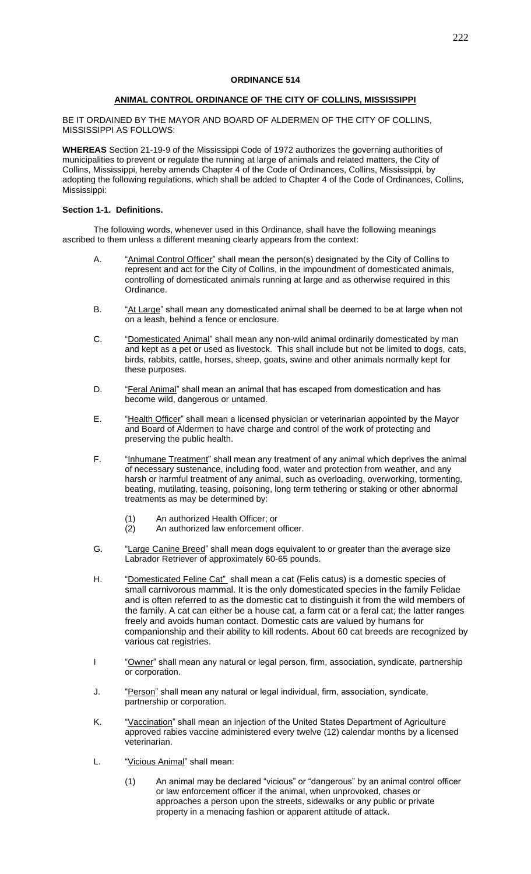# **ANIMAL CONTROL ORDINANCE OF THE CITY OF COLLINS, MISSISSIPPI**

BE IT ORDAINED BY THE MAYOR AND BOARD OF ALDERMEN OF THE CITY OF COLLINS, MISSISSIPPI AS FOLLOWS:

**WHEREAS** Section 21-19-9 of the Mississippi Code of 1972 authorizes the governing authorities of municipalities to prevent or regulate the running at large of animals and related matters, the City of Collins, Mississippi, hereby amends Chapter 4 of the Code of Ordinances, Collins, Mississippi, by adopting the following regulations, which shall be added to Chapter 4 of the Code of Ordinances, Collins, Mississippi:

## **Section 1-1. Definitions.**

The following words, whenever used in this Ordinance, shall have the following meanings ascribed to them unless a different meaning clearly appears from the context:

- A. "Animal Control Officer" shall mean the person(s) designated by the City of Collins to represent and act for the City of Collins, in the impoundment of domesticated animals, controlling of domesticated animals running at large and as otherwise required in this Ordinance.
- B. "At Large" shall mean any domesticated animal shall be deemed to be at large when not on a leash, behind a fence or enclosure.
- C. "Domesticated Animal" shall mean any non-wild animal ordinarily domesticated by man and kept as a pet or used as livestock. This shall include but not be limited to dogs, cats, birds, rabbits, cattle, horses, sheep, goats, swine and other animals normally kept for these purposes.
- D. "Feral Animal" shall mean an animal that has escaped from domestication and has become wild, dangerous or untamed.
- E. "Health Officer" shall mean a licensed physician or veterinarian appointed by the Mayor and Board of Aldermen to have charge and control of the work of protecting and preserving the public health.
- F. "Inhumane Treatment" shall mean any treatment of any animal which deprives the animal of necessary sustenance, including food, water and protection from weather, and any harsh or harmful treatment of any animal, such as overloading, overworking, tormenting, beating, mutilating, teasing, poisoning, long term tethering or staking or other abnormal treatments as may be determined by:
	- (1) An authorized Health Officer; or<br>(2) An authorized law enforcement
	- An authorized law enforcement officer.
- G. "Large Canine Breed" shall mean dogs equivalent to or greater than the average size Labrador Retriever of approximately 60-65 pounds.
- H. "Domesticated Feline Cat" shall mean a cat (Felis catus) is a domestic species of small carnivorous mammal. It is the only domesticated species in the family Felidae and is often referred to as the domestic cat to distinguish it from the wild members of the family. A cat can either be a house cat, a farm cat or a feral cat; the latter ranges freely and avoids human contact. Domestic cats are valued by humans for companionship and their ability to kill [rodents.](https://en.wikipedia.org/wiki/Rodent) About 60 [cat breeds](https://en.wikipedia.org/wiki/Cat_breeds) are recognized by various [cat registries.](https://en.wikipedia.org/wiki/Cat_registries)
- I "Owner" shall mean any natural or legal person, firm, association, syndicate, partnership or corporation.
- J. "Person" shall mean any natural or legal individual, firm, association, syndicate, partnership or corporation.
- K. "Vaccination" shall mean an injection of the United States Department of Agriculture approved rabies vaccine administered every twelve (12) calendar months by a licensed veterinarian.
- L. "Vicious Animal" shall mean:
	- (1) An animal may be declared "vicious" or "dangerous" by an animal control officer or law enforcement officer if the animal, when unprovoked, chases or approaches a person upon the streets, sidewalks or any public or private property in a menacing fashion or apparent attitude of attack.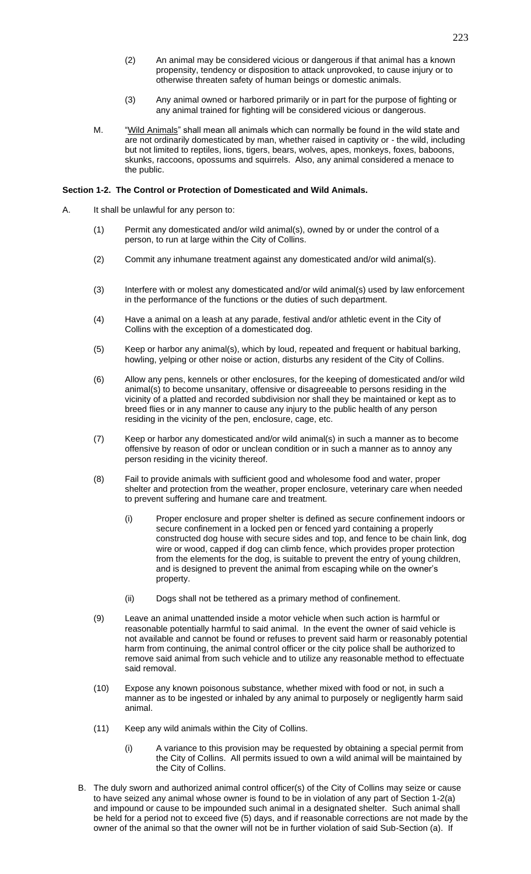- (2) An animal may be considered vicious or dangerous if that animal has a known propensity, tendency or disposition to attack unprovoked, to cause injury or to otherwise threaten safety of human beings or domestic animals.
- (3) Any animal owned or harbored primarily or in part for the purpose of fighting or any animal trained for fighting will be considered vicious or dangerous.
- M. "Wild Animals" shall mean all animals which can normally be found in the wild state and are not ordinarily domesticated by man, whether raised in captivity or - the wild, including but not limited to reptiles, lions, tigers, bears, wolves, apes, monkeys, foxes, baboons, skunks, raccoons, opossums and squirrels. Also, any animal considered a menace to the public.

## **Section 1-2. The Control or Protection of Domesticated and Wild Animals.**

- A. It shall be unlawful for any person to:
	- (1) Permit any domesticated and/or wild animal(s), owned by or under the control of a person, to run at large within the City of Collins.
	- (2) Commit any inhumane treatment against any domesticated and/or wild animal(s).
	- (3) Interfere with or molest any domesticated and/or wild animal(s) used by law enforcement in the performance of the functions or the duties of such department.
	- (4) Have a animal on a leash at any parade, festival and/or athletic event in the City of Collins with the exception of a domesticated dog.
	- (5) Keep or harbor any animal(s), which by loud, repeated and frequent or habitual barking, howling, yelping or other noise or action, disturbs any resident of the City of Collins.
	- (6) Allow any pens, kennels or other enclosures, for the keeping of domesticated and/or wild animal(s) to become unsanitary, offensive or disagreeable to persons residing in the vicinity of a platted and recorded subdivision nor shall they be maintained or kept as to breed flies or in any manner to cause any injury to the public health of any person residing in the vicinity of the pen, enclosure, cage, etc.
	- (7) Keep or harbor any domesticated and/or wild animal(s) in such a manner as to become offensive by reason of odor or unclean condition or in such a manner as to annoy any person residing in the vicinity thereof.
	- (8) Fail to provide animals with sufficient good and wholesome food and water, proper shelter and protection from the weather, proper enclosure, veterinary care when needed to prevent suffering and humane care and treatment.
		- (i) Proper enclosure and proper shelter is defined as secure confinement indoors or secure confinement in a locked pen or fenced yard containing a properly constructed dog house with secure sides and top, and fence to be chain link, dog wire or wood, capped if dog can climb fence, which provides proper protection from the elements for the dog, is suitable to prevent the entry of young children, and is designed to prevent the animal from escaping while on the owner's property.
		- (ii) Dogs shall not be tethered as a primary method of confinement.
	- (9) Leave an animal unattended inside a motor vehicle when such action is harmful or reasonable potentially harmful to said animal. In the event the owner of said vehicle is not available and cannot be found or refuses to prevent said harm or reasonably potential harm from continuing, the animal control officer or the city police shall be authorized to remove said animal from such vehicle and to utilize any reasonable method to effectuate said removal.
	- (10) Expose any known poisonous substance, whether mixed with food or not, in such a manner as to be ingested or inhaled by any animal to purposely or negligently harm said animal.
	- (11) Keep any wild animals within the City of Collins.
		- (i) A variance to this provision may be requested by obtaining a special permit from the City of Collins. All permits issued to own a wild animal will be maintained by the City of Collins.
	- B. The duly sworn and authorized animal control officer(s) of the City of Collins may seize or cause to have seized any animal whose owner is found to be in violation of any part of Section 1-2(a) and impound or cause to be impounded such animal in a designated shelter. Such animal shall be held for a period not to exceed five (5) days, and if reasonable corrections are not made by the owner of the animal so that the owner will not be in further violation of said Sub-Section (a). If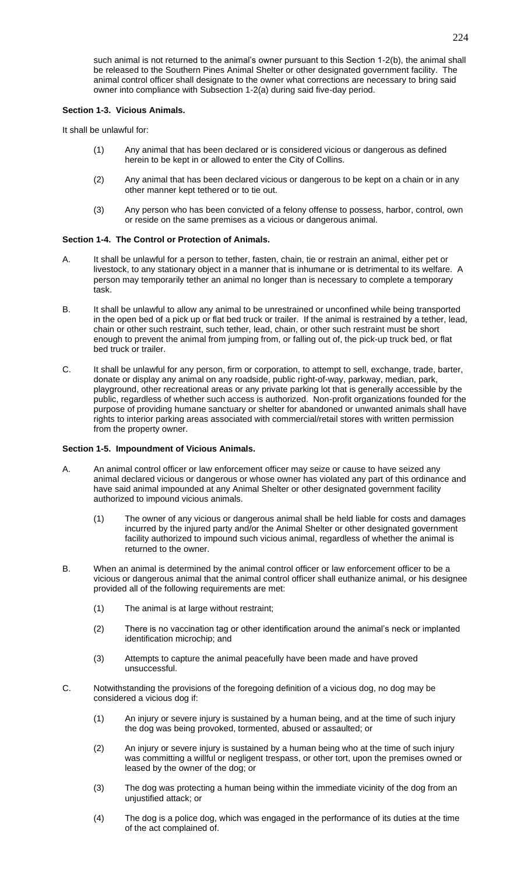such animal is not returned to the animal's owner pursuant to this Section 1-2(b), the animal shall be released to the Southern Pines Animal Shelter or other designated government facility. The animal control officer shall designate to the owner what corrections are necessary to bring said owner into compliance with Subsection 1-2(a) during said five-day period.

## **Section 1-3. Vicious Animals.**

It shall be unlawful for:

- (1) Any animal that has been declared or is considered vicious or dangerous as defined herein to be kept in or allowed to enter the City of Collins.
- (2) Any animal that has been declared vicious or dangerous to be kept on a chain or in any other manner kept tethered or to tie out.
- (3) Any person who has been convicted of a felony offense to possess, harbor, control, own or reside on the same premises as a vicious or dangerous animal.

## **Section 1-4. The Control or Protection of Animals.**

- A. It shall be unlawful for a person to tether, fasten, chain, tie or restrain an animal, either pet or livestock, to any stationary object in a manner that is inhumane or is detrimental to its welfare. A person may temporarily tether an animal no longer than is necessary to complete a temporary task.
- B. It shall be unlawful to allow any animal to be unrestrained or unconfined while being transported in the open bed of a pick up or flat bed truck or trailer. If the animal is restrained by a tether, lead, chain or other such restraint, such tether, lead, chain, or other such restraint must be short enough to prevent the animal from jumping from, or falling out of, the pick-up truck bed, or flat bed truck or trailer.
- C. It shall be unlawful for any person, firm or corporation, to attempt to sell, exchange, trade, barter, donate or display any animal on any roadside, public right-of-way, parkway, median, park, playground, other recreational areas or any private parking lot that is generally accessible by the public, regardless of whether such access is authorized. Non-profit organizations founded for the purpose of providing humane sanctuary or shelter for abandoned or unwanted animals shall have rights to interior parking areas associated with commercial/retail stores with written permission from the property owner.

#### **Section 1-5. Impoundment of Vicious Animals.**

- A. An animal control officer or law enforcement officer may seize or cause to have seized any animal declared vicious or dangerous or whose owner has violated any part of this ordinance and have said animal impounded at any Animal Shelter or other designated government facility authorized to impound vicious animals.
	- (1) The owner of any vicious or dangerous animal shall be held liable for costs and damages incurred by the injured party and/or the Animal Shelter or other designated government facility authorized to impound such vicious animal, regardless of whether the animal is returned to the owner.
- B. When an animal is determined by the animal control officer or law enforcement officer to be a vicious or dangerous animal that the animal control officer shall euthanize animal, or his designee provided all of the following requirements are met:
	- (1) The animal is at large without restraint;
	- (2) There is no vaccination tag or other identification around the animal's neck or implanted identification microchip; and
	- (3) Attempts to capture the animal peacefully have been made and have proved unsuccessful.
- C. Notwithstanding the provisions of the foregoing definition of a vicious dog, no dog may be considered a vicious dog if:
	- (1) An injury or severe injury is sustained by a human being, and at the time of such injury the dog was being provoked, tormented, abused or assaulted; or
	- (2) An injury or severe injury is sustained by a human being who at the time of such injury was committing a willful or negligent trespass, or other tort, upon the premises owned or leased by the owner of the dog; or
	- (3) The dog was protecting a human being within the immediate vicinity of the dog from an unjustified attack; or
	- (4) The dog is a police dog, which was engaged in the performance of its duties at the time of the act complained of.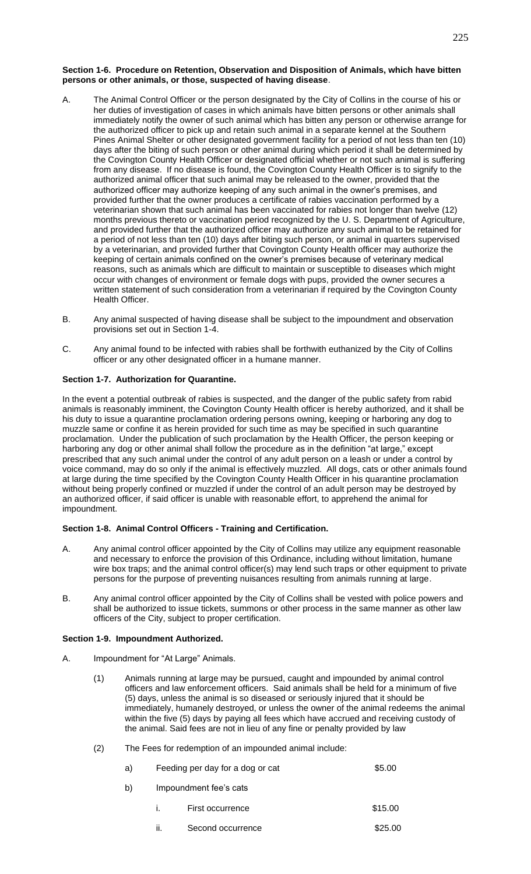### **Section 1-6. Procedure on Retention, Observation and Disposition of Animals, which have bitten persons or other animals, or those, suspected of having disease**.

- A. The Animal Control Officer or the person designated by the City of Collins in the course of his or her duties of investigation of cases in which animals have bitten persons or other animals shall immediately notify the owner of such animal which has bitten any person or otherwise arrange for the authorized officer to pick up and retain such animal in a separate kennel at the Southern Pines Animal Shelter or other designated government facility for a period of not less than ten (10) days after the biting of such person or other animal during which period it shall be determined by the Covington County Health Officer or designated official whether or not such animal is suffering from any disease. If no disease is found, the Covington County Health Officer is to signify to the authorized animal officer that such animal may be released to the owner, provided that the authorized officer may authorize keeping of any such animal in the owner's premises, and provided further that the owner produces a certificate of rabies vaccination performed by a veterinarian shown that such animal has been vaccinated for rabies not longer than twelve (12) months previous thereto or vaccination period recognized by the U. S. Department of Agriculture, and provided further that the authorized officer may authorize any such animal to be retained for a period of not less than ten (10) days after biting such person, or animal in quarters supervised by a veterinarian, and provided further that Covington County Health officer may authorize the keeping of certain animals confined on the owner's premises because of veterinary medical reasons, such as animals which are difficult to maintain or susceptible to diseases which might occur with changes of environment or female dogs with pups, provided the owner secures a written statement of such consideration from a veterinarian if required by the Covington County Health Officer.
- B. Any animal suspected of having disease shall be subject to the impoundment and observation provisions set out in Section 1-4.
- C. Any animal found to be infected with rabies shall be forthwith euthanized by the City of Collins officer or any other designated officer in a humane manner.

# **Section 1-7. Authorization for Quarantine.**

In the event a potential outbreak of rabies is suspected, and the danger of the public safety from rabid animals is reasonably imminent, the Covington County Health officer is hereby authorized, and it shall be his duty to issue a quarantine proclamation ordering persons owning, keeping or harboring any dog to muzzle same or confine it as herein provided for such time as may be specified in such quarantine proclamation. Under the publication of such proclamation by the Health Officer, the person keeping or harboring any dog or other animal shall follow the procedure as in the definition "at large," except prescribed that any such animal under the control of any adult person on a leash or under a control by voice command, may do so only if the animal is effectively muzzled. All dogs, cats or other animals found at large during the time specified by the Covington County Health Officer in his quarantine proclamation without being properly confined or muzzled if under the control of an adult person may be destroyed by an authorized officer, if said officer is unable with reasonable effort, to apprehend the animal for impoundment.

# **Section 1-8. Animal Control Officers - Training and Certification.**

- A. Any animal control officer appointed by the City of Collins may utilize any equipment reasonable and necessary to enforce the provision of this Ordinance, including without limitation, humane wire box traps; and the animal control officer(s) may lend such traps or other equipment to private persons for the purpose of preventing nuisances resulting from animals running at large.
- B. Any animal control officer appointed by the City of Collins shall be vested with police powers and shall be authorized to issue tickets, summons or other process in the same manner as other law officers of the City, subject to proper certification.

## **Section 1-9. Impoundment Authorized.**

- A. Impoundment for "At Large" Animals.
	- (1) Animals running at large may be pursued, caught and impounded by animal control officers and law enforcement officers. Said animals shall be held for a minimum of five (5) days, unless the animal is so diseased or seriously injured that it should be immediately, humanely destroyed, or unless the owner of the animal redeems the animal within the five (5) days by paying all fees which have accrued and receiving custody of the animal. Said fees are not in lieu of any fine or penalty provided by law
	- (2) The Fees for redemption of an impounded animal include:

| a) |                        | Feeding per day for a dog or cat |         |  |
|----|------------------------|----------------------------------|---------|--|
| b) | Impoundment fee's cats |                                  |         |  |
|    |                        | First occurrence                 | \$15.00 |  |
|    |                        | Second occurrence                | \$25.00 |  |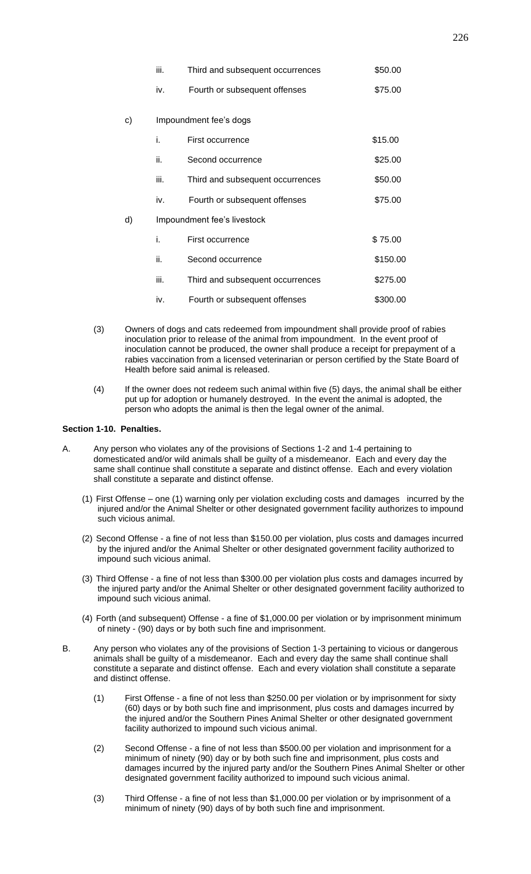|    | iii.                        | Third and subsequent occurrences | \$50.00  |  |  |  |
|----|-----------------------------|----------------------------------|----------|--|--|--|
|    | iv.                         | Fourth or subsequent offenses    | \$75.00  |  |  |  |
|    |                             |                                  |          |  |  |  |
| c) | Impoundment fee's dogs      |                                  |          |  |  |  |
|    | i.                          | First occurrence                 | \$15.00  |  |  |  |
|    | ii.                         | Second occurrence                | \$25.00  |  |  |  |
|    | iii.                        | Third and subsequent occurrences | \$50.00  |  |  |  |
|    | iv.                         | Fourth or subsequent offenses    | \$75.00  |  |  |  |
| d) | Impoundment fee's livestock |                                  |          |  |  |  |
|    | i.                          | First occurrence                 | \$75.00  |  |  |  |
|    | ii.                         | Second occurrence                | \$150.00 |  |  |  |
|    | iii.                        | Third and subsequent occurrences | \$275.00 |  |  |  |
|    | iv.                         | Fourth or subsequent offenses    | \$300.00 |  |  |  |

- (3) Owners of dogs and cats redeemed from impoundment shall provide proof of rabies inoculation prior to release of the animal from impoundment. In the event proof of inoculation cannot be produced, the owner shall produce a receipt for prepayment of a rabies vaccination from a licensed veterinarian or person certified by the State Board of Health before said animal is released.
- (4) If the owner does not redeem such animal within five (5) days, the animal shall be either put up for adoption or humanely destroyed. In the event the animal is adopted, the person who adopts the animal is then the legal owner of the animal.

# **Section 1-10. Penalties.**

- A. Any person who violates any of the provisions of Sections 1-2 and 1-4 pertaining to domesticated and/or wild animals shall be guilty of a misdemeanor. Each and every day the same shall continue shall constitute a separate and distinct offense. Each and every violation shall constitute a separate and distinct offense.
	- (1) First Offense one (1) warning only per violation excluding costs and damages incurred by the injured and/or the Animal Shelter or other designated government facility authorizes to impound such vicious animal.
	- (2) Second Offense a fine of not less than \$150.00 per violation, plus costs and damages incurred by the injured and/or the Animal Shelter or other designated government facility authorized to impound such vicious animal.
	- (3) Third Offense a fine of not less than \$300.00 per violation plus costs and damages incurred by the injured party and/or the Animal Shelter or other designated government facility authorized to impound such vicious animal.
	- (4) Forth (and subsequent) Offense a fine of \$1,000.00 per violation or by imprisonment minimum of ninety - (90) days or by both such fine and imprisonment.
- B. Any person who violates any of the provisions of Section 1-3 pertaining to vicious or dangerous animals shall be guilty of a misdemeanor. Each and every day the same shall continue shall constitute a separate and distinct offense. Each and every violation shall constitute a separate and distinct offense.
	- (1) First Offense a fine of not less than \$250.00 per violation or by imprisonment for sixty (60) days or by both such fine and imprisonment, plus costs and damages incurred by the injured and/or the Southern Pines Animal Shelter or other designated government facility authorized to impound such vicious animal.
	- (2) Second Offense a fine of not less than \$500.00 per violation and imprisonment for a minimum of ninety (90) day or by both such fine and imprisonment, plus costs and damages incurred by the injured party and/or the Southern Pines Animal Shelter or other designated government facility authorized to impound such vicious animal.
	- (3) Third Offense a fine of not less than \$1,000.00 per violation or by imprisonment of a minimum of ninety (90) days of by both such fine and imprisonment.